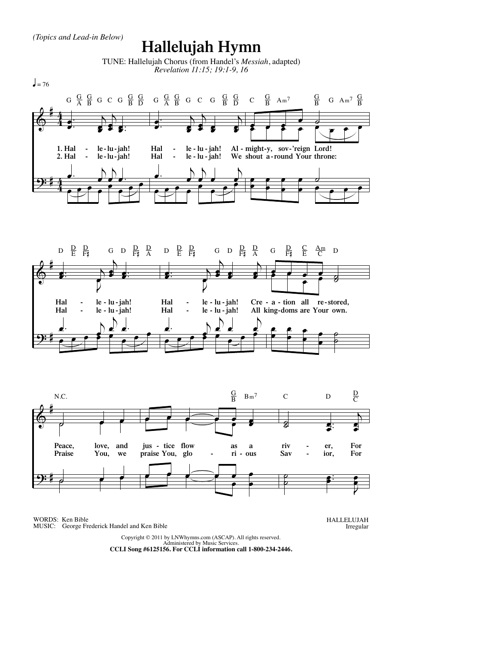*(Topics and Lead-in Below)*

## **Hallelujah Hymn**

TUNE: Hallelujah Chorus (from Handel's *Messiah*, adapted) *Revelation 11:15; 19:1-9, 16*







WORDS: Ken Bible MUSIC: George Frederick Handel and Ken Bible HALLELUJAH Irregular

Copyright © 2011 by LNWhymns.com (ASCAP). All rights reserved. Administered by Music Services. **CCLI Song #6125156. For CCLI information call 1-800-234-2446.**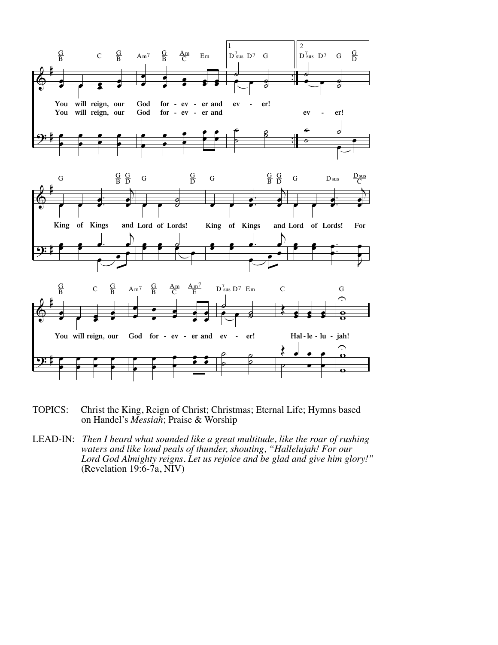

- TOPICS: Christ the King, Reign of Christ; Christmas; Eternal Life; Hymns based on Handel's *Messiah*; Praise & Worship
- LEAD-IN: *Then I heard what sounded like a great multitude, like the roar of rushing waters and like loud peals of thunder, shouting, "Hallelujah! For our Lord God Almighty reigns. Let us rejoice and be glad and give him glory!"* (Revelation 19:6-7a, NIV)